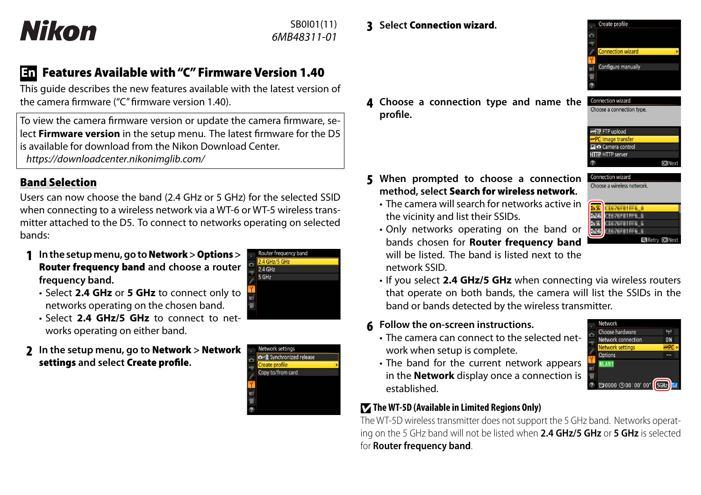# Nikon

SB0I01(11) *6MB48311-01*

## **En Features Available with "C" Firmware Version 1.40**

This guide describes the new features available with the latest version of the camera firmware ("C" firmware version 1.40).

To view the camera firmware version or update the camera firmware, select **Firmware version** in the setup menu. The latest firmware for the D5 is available for download from the Nikon Download Center. *https://downloadcenter.nikonimglib.com/*

### **Band Selection**

Users can now choose the band (2.4 GHz or 5 GHz) for the selected SSID when connecting to a wireless network via a WT-6 or WT-5 wireless transmitter attached to the D5. To connect to networks operating on selected bands:

**1 In the setup menu, go to Network > Options > Router frequency band and choose a router frequency band.**



- Select **2.4 GHz/5 GHz** to connect to networks operating on either band.
- **2 In the setup menu, go to Network > Network settings and select Create profi le.**



Router frequency band 2.4 GHz/5 GHz 2.4 GHz 5 GHz

#### **4 Choose a connection type and name the**  Choose a connection type **profi le.**



Create profile

**ETP** FTP upload **PC** Image transfe **El O** Camera control **HTTP HTTP server** maNey

Connection wizard Choose a wireless network

- **5 When prompted to choose a connection method, select Search for wireless network.**
	- The camera will search for networks active in the vicinity and list their SSIDs.
	- Only networks operating on the band or bands chosen for **Router frequency band** will be listed. The band is listed next to the network SSID.



• If you select **2.4 GHz/5 GHz** when connecting via wireless routers that operate on both bands, the camera will list the SSIDs in the band or bands detected by the wireless transmitter.

#### **6 Follow the on-screen instructions.**

• The camera can connect to the selected network when setup is complete.



• The band for the current network appears in the **Network** display once a connection is established.

#### **The WT-5D (Available in Limited Regions Only)**

The WT-5D wireless transmitter does not support the 5 GHz band. Networks operating on the 5 GHz band will not be listed when **2.4 GHz/5 GHz** or **5 GHz** is selected for **Router frequency band**.

### **3 Select Connection wizard.**